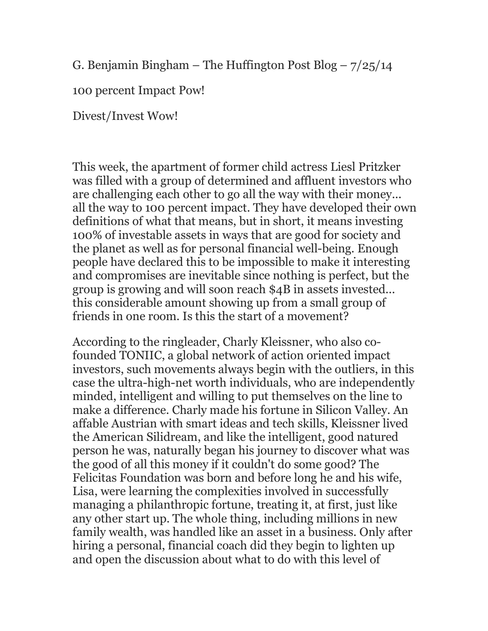G. Benjamin Bingham – The Huffington Post Blog –  $7/25/14$ 

100 percent Impact Pow!

Divest/Invest Wow!

This week, the apartment of former child actress Liesl Pritzker was filled with a group of determined and affluent investors who are challenging each other to go all the way with their money... all the way to 100 percent impact. They have developed their own definitions of what that means, but in short, it means investing 100% of investable assets in ways that are good for society and the planet as well as for personal financial well-being. Enough people have declared this to be impossible to make it interesting and compromises are inevitable since nothing is perfect, but the group is growing and will soon reach \$4B in assets invested... this considerable amount showing up from a small group of friends in one room. Is this the start of a movement?

According to the ringleader, Charly Kleissner, who also cofounded TONIIC, a global network of action oriented impact investors, such movements always begin with the outliers, in this case the ultra-high-net worth individuals, who are independently minded, intelligent and willing to put themselves on the line to make a difference. Charly made his fortune in Silicon Valley. An affable Austrian with smart ideas and tech skills, Kleissner lived the American Silidream, and like the intelligent, good natured person he was, naturally began his journey to discover what was the good of all this money if it couldn't do some good? The Felicitas Foundation was born and before long he and his wife, Lisa, were learning the complexities involved in successfully managing a philanthropic fortune, treating it, at first, just like any other start up. The whole thing, including millions in new family wealth, was handled like an asset in a business. Only after hiring a personal, financial coach did they begin to lighten up and open the discussion about what to do with this level of